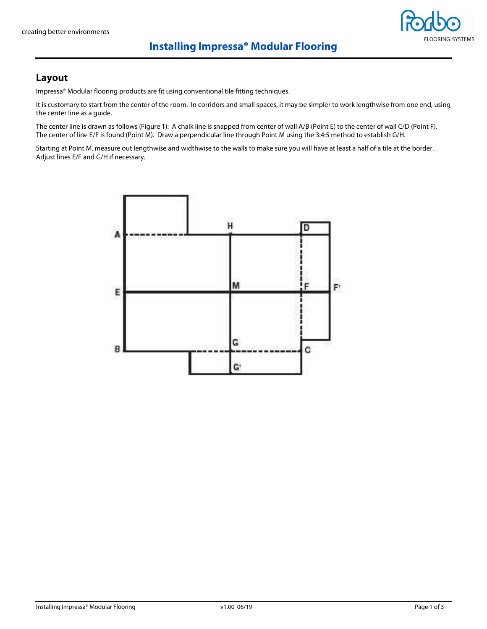### **Installing Impressa® Modular Flooring**

### **Layout**

Impressa® Modular flooring products are fit using conventional tile fitting techniques.

It is customary to start from the center of the room. In corridors and small spaces, it may be simpler to work lengthwise from one end, using the center line as a guide.

The center line is drawn as follows (Figure 1): A chalk line is snapped from center of wall A/B (Point E) to the center of wall C/D (Point F). The center of line E/F is found (Point M). Draw a perpendicular line through Point M using the 3:4:5 method to establish G/H.

Starting at Point M, measure out lengthwise and widthwise to the walls to make sure you will have at least a half of a tile at the border. Adjust lines E/F and G/H if necessary.

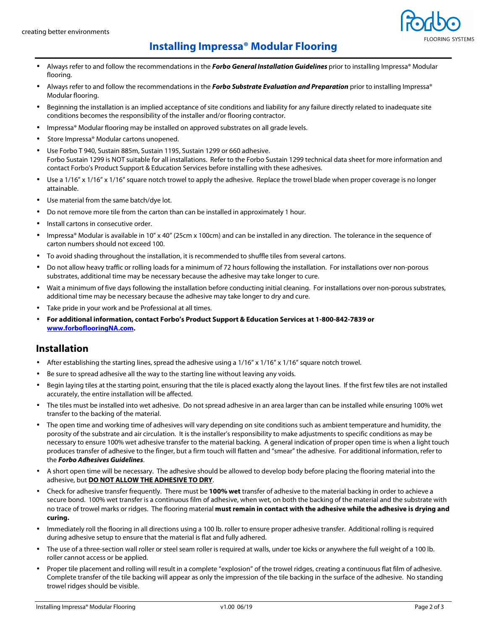

### **Installing Impressa® Modular Flooring**

- Always refer to and follow the recommendations in the **Forbo General Installation Guidelines** prior to installing Impressa® Modular flooring.
- Always refer to and follow the recommendations in the **Forbo Substrate Evaluation and Preparation** prior to installing Impressa® Modular flooring.
- Beginning the installation is an implied acceptance of site conditions and liability for any failure directly related to inadequate site conditions becomes the responsibility of the installer and/or flooring contractor.
- Impressa® Modular flooring may be installed on approved substrates on all grade levels.
- Store Impressa® Modular cartons unopened.
- Use Forbo T 940, Sustain 885m, Sustain 1195, Sustain 1299 or 660 adhesive. Forbo Sustain 1299 is NOT suitable for all installations. Refer to the Forbo Sustain 1299 technical data sheet for more information and contact Forbo's Product Support & Education Services before installing with these adhesives.
- Use a 1/16" x 1/16" x 1/16" square notch trowel to apply the adhesive. Replace the trowel blade when proper coverage is no longer attainable.
- Use material from the same batch/dye lot.
- Do not remove more tile from the carton than can be installed in approximately 1 hour.
- Install cartons in consecutive order.
- Impressa® Modular is available in 10" x 40" (25cm x 100cm) and can be installed in any direction. The tolerance in the sequence of carton numbers should not exceed 100.
- To avoid shading throughout the installation, it is recommended to shuffle tiles from several cartons.
- Do not allow heavy traffic or rolling loads for a minimum of 72 hours following the installation. For installations over non-porous substrates, additional time may be necessary because the adhesive may take longer to cure.
- Wait a minimum of five days following the installation before conducting initial cleaning. For installations over non-porous substrates, additional time may be necessary because the adhesive may take longer to dry and cure.
- Take pride in your work and be Professional at all times.
- **For additional information, contact Forbo's Product Support & Education Services at 1-800-842-7839 or www.forboflooringNA.com.**

#### **Installation**

- After establishing the starting lines, spread the adhesive using a 1/16" x 1/16" x 1/16" square notch trowel.
- Be sure to spread adhesive all the way to the starting line without leaving any voids.
- Begin laying tiles at the starting point, ensuring that the tile is placed exactly along the layout lines. If the first few tiles are not installed accurately, the entire installation will be affected.
- The tiles must be installed into wet adhesive. Do not spread adhesive in an area larger than can be installed while ensuring 100% wet transfer to the backing of the material.
- The open time and working time of adhesives will vary depending on site conditions such as ambient temperature and humidity, the porosity of the substrate and air circulation. It is the installer's responsibility to make adjustments to specific conditions as may be necessary to ensure 100% wet adhesive transfer to the material backing. A general indication of proper open time is when a light touch produces transfer of adhesive to the finger, but a firm touch will flatten and "smear" the adhesive. For additional information, refer to the **Forbo Adhesives Guidelines**.
- A short open time will be necessary. The adhesive should be allowed to develop body before placing the flooring material into the adhesive, but **DO NOT ALLOW THE ADHESIVE TO DRY**.
- Check for adhesive transfer frequently. There must be **100% wet** transfer of adhesive to the material backing in order to achieve a secure bond. 100% wet transfer is a continuous film of adhesive, when wet, on both the backing of the material and the substrate with no trace of trowel marks or ridges. The flooring material **must remain in contact with the adhesive while the adhesive is drying and curing.**
- Immediately roll the flooring in all directions using a 100 lb. roller to ensure proper adhesive transfer. Additional rolling is required during adhesive setup to ensure that the material is flat and fully adhered.
- The use of a three-section wall roller or steel seam roller is required at walls, under toe kicks or anywhere the full weight of a 100 lb. roller cannot access or be applied.
- Proper tile placement and rolling will result in a complete "explosion" of the trowel ridges, creating a continuous flat film of adhesive. Complete transfer of the tile backing will appear as only the impression of the tile backing in the surface of the adhesive. No standing trowel ridges should be visible.